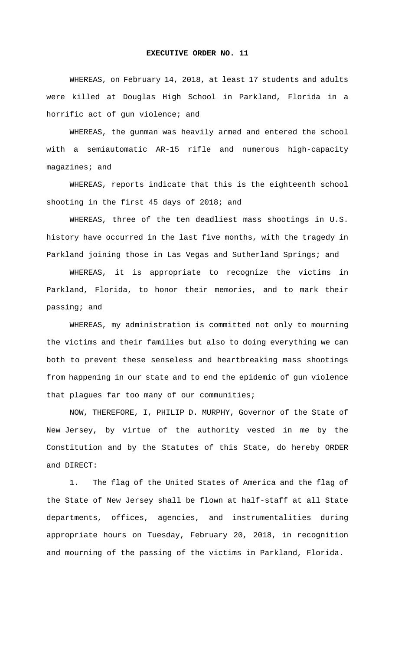## **EXECUTIVE ORDER NO. 11**

 WHEREAS, on February 14, 2018, at least 17 students and adults were killed at Douglas High School in Parkland, Florida in a horrific act of gun violence; and

 WHEREAS, the gunman was heavily armed and entered the school with a semiautomatic AR-15 rifle and numerous high-capacity magazines; and

 WHEREAS, reports indicate that this is the eighteenth school shooting in the first 45 days of 2018; and

 WHEREAS, three of the ten deadliest mass shootings in U.S. history have occurred in the last five months, with the tragedy in Parkland joining those in Las Vegas and Sutherland Springs; and

 WHEREAS, it is appropriate to recognize the victims in Parkland, Florida, to honor their memories, and to mark their passing; and

 WHEREAS, my administration is committed not only to mourning the victims and their families but also to doing everything we can both to prevent these senseless and heartbreaking mass shootings from happening in our state and to end the epidemic of gun violence that plagues far too many of our communities;

 NOW, THEREFORE, I, PHILIP D. MURPHY, Governor of the State of New Jersey, by virtue of the authority vested in me by the Constitution and by the Statutes of this State, do hereby ORDER and DIRECT:

1. The flag of the United States of America and the flag of the State of New Jersey shall be flown at half-staff at all State departments, offices, agencies, and instrumentalities during appropriate hours on Tuesday, February 20, 2018, in recognition and mourning of the passing of the victims in Parkland, Florida.